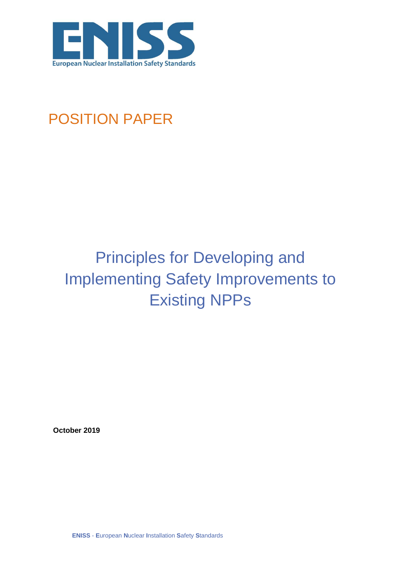

## POSITION PAPER

# Principles for Developing and Implementing Safety Improvements to Existing NPPs

**October 2019**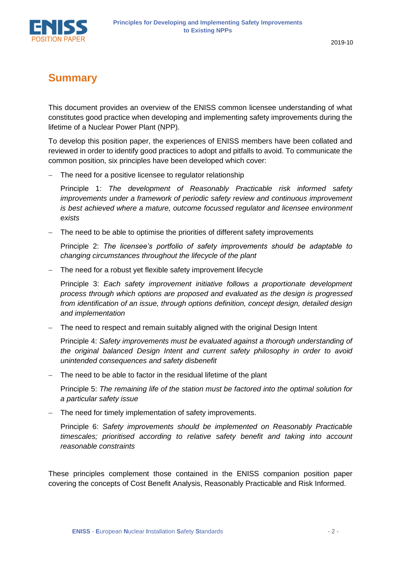

### **Summary**

This document provides an overview of the ENISS common licensee understanding of what constitutes good practice when developing and implementing safety improvements during the lifetime of a Nuclear Power Plant (NPP).

To develop this position paper, the experiences of ENISS members have been collated and reviewed in order to identify good practices to adopt and pitfalls to avoid. To communicate the common position, six principles have been developed which cover:

− The need for a positive licensee to regulator relationship

Principle 1: *The development of Reasonably Practicable risk informed safety improvements under a framework of periodic safety review and continuous improvement is best achieved where a mature, outcome focussed regulator and licensee environment exists*

− The need to be able to optimise the priorities of different safety improvements

Principle 2: *The licensee's portfolio of safety improvements should be adaptable to changing circumstances throughout the lifecycle of the plant*

The need for a robust yet flexible safety improvement lifecycle

Principle 3: *Each safety improvement initiative follows a proportionate development process through which options are proposed and evaluated as the design is progressed from identification of an issue, through options definition, concept design, detailed design and implementation*

− The need to respect and remain suitably aligned with the original Design Intent

Principle 4: *Safety improvements must be evaluated against a thorough understanding of the original balanced Design Intent and current safety philosophy in order to avoid unintended consequences and safety disbenefit*

The need to be able to factor in the residual lifetime of the plant

Principle 5: *The remaining life of the station must be factored into the optimal solution for a particular safety issue*

The need for timely implementation of safety improvements.

Principle 6: *Safety improvements should be implemented on Reasonably Practicable timescales; prioritised according to relative safety benefit and taking into account reasonable constraints*

These principles complement those contained in the ENISS companion position paper covering the concepts of Cost Benefit Analysis, Reasonably Practicable and Risk Informed.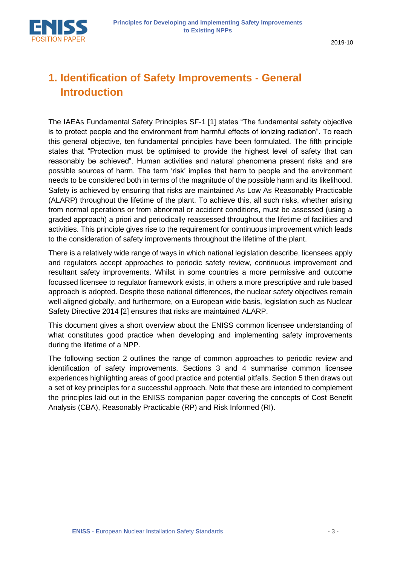2019-10

### **1. Identification of Safety Improvements - General Introduction**

The IAEAs Fundamental Safety Principles SF-1 [1] states "The fundamental safety objective is to protect people and the environment from harmful effects of ionizing radiation". To reach this general objective, ten fundamental principles have been formulated. The fifth principle states that "Protection must be optimised to provide the highest level of safety that can reasonably be achieved". Human activities and natural phenomena present risks and are possible sources of harm. The term 'risk' implies that harm to people and the environment needs to be considered both in terms of the magnitude of the possible harm and its likelihood. Safety is achieved by ensuring that risks are maintained As Low As Reasonably Practicable (ALARP) throughout the lifetime of the plant. To achieve this, all such risks, whether arising from normal operations or from abnormal or accident conditions, must be assessed (using a graded approach) a priori and periodically reassessed throughout the lifetime of facilities and activities. This principle gives rise to the requirement for continuous improvement which leads to the consideration of safety improvements throughout the lifetime of the plant.

There is a relatively wide range of ways in which national legislation describe, licensees apply and regulators accept approaches to periodic safety review, continuous improvement and resultant safety improvements. Whilst in some countries a more permissive and outcome focussed licensee to regulator framework exists, in others a more prescriptive and rule based approach is adopted. Despite these national differences, the nuclear safety objectives remain well aligned globally, and furthermore, on a European wide basis, legislation such as Nuclear Safety Directive 2014 [2] ensures that risks are maintained ALARP.

This document gives a short overview about the ENISS common licensee understanding of what constitutes good practice when developing and implementing safety improvements during the lifetime of a NPP.

The following section 2 outlines the range of common approaches to periodic review and identification of safety improvements. Sections 3 and 4 summarise common licensee experiences highlighting areas of good practice and potential pitfalls. Section 5 then draws out a set of key principles for a successful approach. Note that these are intended to complement the principles laid out in the ENISS companion paper covering the concepts of Cost Benefit Analysis (CBA), Reasonably Practicable (RP) and Risk Informed (RI).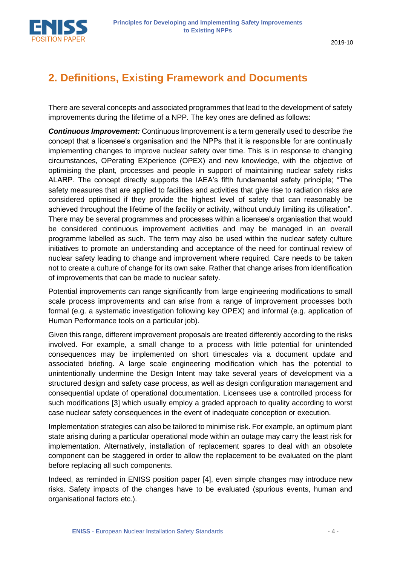

### **2. Definitions, Existing Framework and Documents**

There are several concepts and associated programmes that lead to the development of safety improvements during the lifetime of a NPP. The key ones are defined as follows:

*Continuous Improvement:* Continuous Improvement is a term generally used to describe the concept that a licensee's organisation and the NPPs that it is responsible for are continually implementing changes to improve nuclear safety over time. This is in response to changing circumstances, OPerating EXperience (OPEX) and new knowledge, with the objective of optimising the plant, processes and people in support of maintaining nuclear safety risks ALARP. The concept directly supports the IAEA's fifth fundamental safety principle; "The safety measures that are applied to facilities and activities that give rise to radiation risks are considered optimised if they provide the highest level of safety that can reasonably be achieved throughout the lifetime of the facility or activity, without unduly limiting its utilisation". There may be several programmes and processes within a licensee's organisation that would be considered continuous improvement activities and may be managed in an overall programme labelled as such. The term may also be used within the nuclear safety culture initiatives to promote an understanding and acceptance of the need for continual review of nuclear safety leading to change and improvement where required. Care needs to be taken not to create a culture of change for its own sake. Rather that change arises from identification of improvements that can be made to nuclear safety.

Potential improvements can range significantly from large engineering modifications to small scale process improvements and can arise from a range of improvement processes both formal (e.g. a systematic investigation following key OPEX) and informal (e.g. application of Human Performance tools on a particular job).

Given this range, different improvement proposals are treated differently according to the risks involved. For example, a small change to a process with little potential for unintended consequences may be implemented on short timescales via a document update and associated briefing. A large scale engineering modification which has the potential to unintentionally undermine the Design Intent may take several years of development via a structured design and safety case process, as well as design configuration management and consequential update of operational documentation. Licensees use a controlled process for such modifications [3] which usually employ a graded approach to quality according to worst case nuclear safety consequences in the event of inadequate conception or execution.

Implementation strategies can also be tailored to minimise risk. For example, an optimum plant state arising during a particular operational mode within an outage may carry the least risk for implementation. Alternatively, installation of replacement spares to deal with an obsolete component can be staggered in order to allow the replacement to be evaluated on the plant before replacing all such components.

Indeed, as reminded in ENISS position paper [4], even simple changes may introduce new risks. Safety impacts of the changes have to be evaluated (spurious events, human and organisational factors etc.).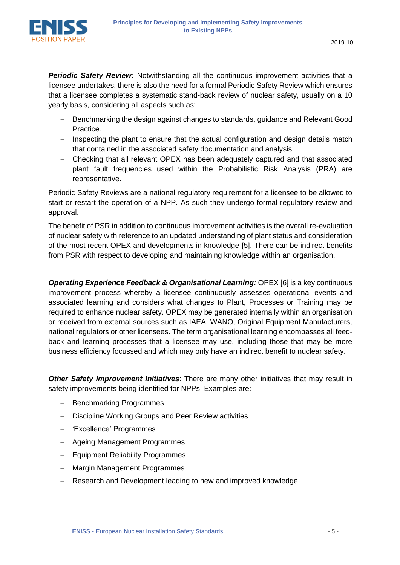

**Periodic Safety Review:** Notwithstanding all the continuous improvement activities that a licensee undertakes, there is also the need for a formal Periodic Safety Review which ensures that a licensee completes a systematic stand-back review of nuclear safety, usually on a 10 yearly basis, considering all aspects such as:

- Benchmarking the design against changes to standards, guidance and Relevant Good Practice.
- − Inspecting the plant to ensure that the actual configuration and design details match that contained in the associated safety documentation and analysis.
- − Checking that all relevant OPEX has been adequately captured and that associated plant fault frequencies used within the Probabilistic Risk Analysis (PRA) are representative.

Periodic Safety Reviews are a national regulatory requirement for a licensee to be allowed to start or restart the operation of a NPP. As such they undergo formal regulatory review and approval.

The benefit of PSR in addition to continuous improvement activities is the overall re-evaluation of nuclear safety with reference to an updated understanding of plant status and consideration of the most recent OPEX and developments in knowledge [5]. There can be indirect benefits from PSR with respect to developing and maintaining knowledge within an organisation.

*Operating Experience Feedback & Organisational Learning:* OPEX [6] is a key continuous improvement process whereby a licensee continuously assesses operational events and associated learning and considers what changes to Plant, Processes or Training may be required to enhance nuclear safety. OPEX may be generated internally within an organisation or received from external sources such as IAEA, WANO, Original Equipment Manufacturers, national regulators or other licensees. The term organisational learning encompasses all feedback and learning processes that a licensee may use, including those that may be more business efficiency focussed and which may only have an indirect benefit to nuclear safety.

*Other Safety Improvement Initiatives*: There are many other initiatives that may result in safety improvements being identified for NPPs. Examples are:

- − Benchmarking Programmes
- − Discipline Working Groups and Peer Review activities
- − 'Excellence' Programmes
- − Ageing Management Programmes
- − Equipment Reliability Programmes
- − Margin Management Programmes
- − Research and Development leading to new and improved knowledge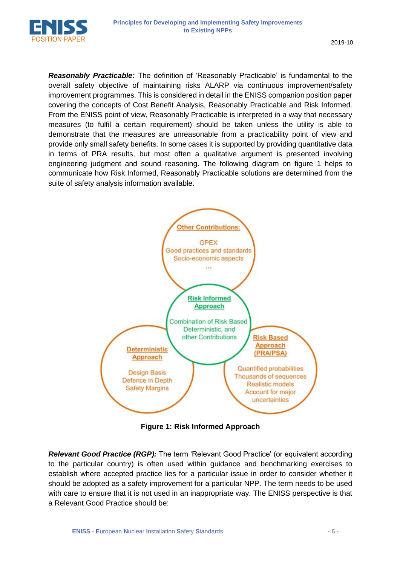

*Reasonably Practicable:* The definition of 'Reasonably Practicable' is fundamental to the overall safety objective of maintaining risks ALARP via continuous improvement/safety improvement programmes. This is considered in detail in the ENISS companion position paper covering the concepts of Cost Benefit Analysis, Reasonably Practicable and Risk Informed. From the ENISS point of view, Reasonably Practicable is interpreted in a way that necessary measures (to fulfil a certain requirement) should be taken unless the utility is able to demonstrate that the measures are unreasonable from a practicability point of view and provide only small safety benefits. In some cases it is supported by providing quantitative data in terms of PRA results, but most often a qualitative argument is presented involving engineering judgment and sound reasoning. The following diagram on figure 1 helps to communicate how Risk Informed, Reasonably Practicable solutions are determined from the suite of safety analysis information available.



**Figure 1: Risk Informed Approach**

*Relevant Good Practice (RGP):* The term 'Relevant Good Practice' (or equivalent according to the particular country) is often used within guidance and benchmarking exercises to establish where accepted practice lies for a particular issue in order to consider whether it should be adopted as a safety improvement for a particular NPP. The term needs to be used with care to ensure that it is not used in an inappropriate way. The ENISS perspective is that a Relevant Good Practice should be: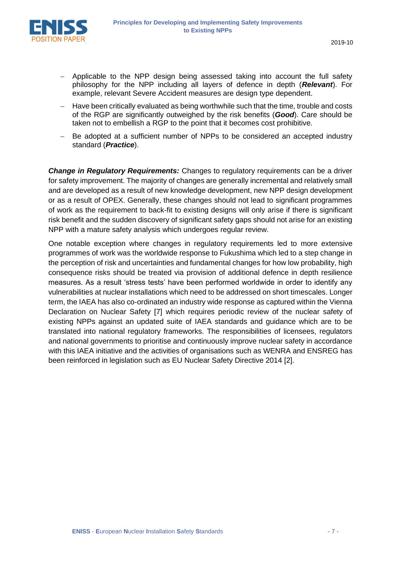

- − Applicable to the NPP design being assessed taking into account the full safety philosophy for the NPP including all layers of defence in depth (*Relevant*). For example, relevant Severe Accident measures are design type dependent.
- Have been critically evaluated as being worthwhile such that the time, trouble and costs of the RGP are significantly outweighed by the risk benefits (*Good*). Care should be taken not to embellish a RGP to the point that it becomes cost prohibitive.
- − Be adopted at a sufficient number of NPPs to be considered an accepted industry standard (*Practice*).

*Change in Regulatory Requirements: Changes to regulatory requirements can be a driver* for safety improvement. The majority of changes are generally incremental and relatively small and are developed as a result of new knowledge development, new NPP design development or as a result of OPEX. Generally, these changes should not lead to significant programmes of work as the requirement to back-fit to existing designs will only arise if there is significant risk benefit and the sudden discovery of significant safety gaps should not arise for an existing NPP with a mature safety analysis which undergoes regular review.

One notable exception where changes in regulatory requirements led to more extensive programmes of work was the worldwide response to Fukushima which led to a step change in the perception of risk and uncertainties and fundamental changes for how low probability, high consequence risks should be treated via provision of additional defence in depth resilience measures. As a result 'stress tests' have been performed worldwide in order to identify any vulnerabilities at nuclear installations which need to be addressed on short timescales. Longer term, the IAEA has also co-ordinated an industry wide response as captured within the Vienna Declaration on Nuclear Safety [7] which requires periodic review of the nuclear safety of existing NPPs against an updated suite of IAEA standards and guidance which are to be translated into national regulatory frameworks. The responsibilities of licensees, regulators and national governments to prioritise and continuously improve nuclear safety in accordance with this IAEA initiative and the activities of organisations such as WENRA and ENSREG has been reinforced in legislation such as EU Nuclear Safety Directive 2014 [2].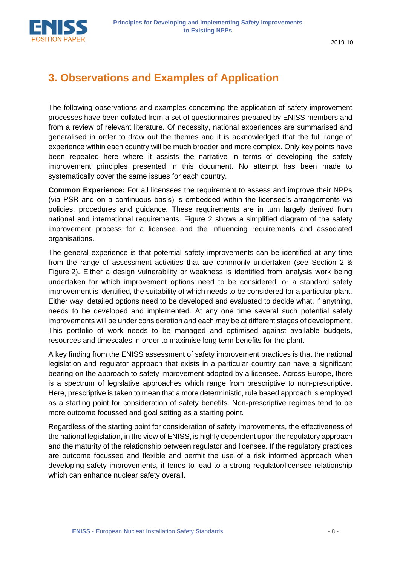

2019-10

### **3. Observations and Examples of Application**

The following observations and examples concerning the application of safety improvement processes have been collated from a set of questionnaires prepared by ENISS members and from a review of relevant literature. Of necessity, national experiences are summarised and generalised in order to draw out the themes and it is acknowledged that the full range of experience within each country will be much broader and more complex. Only key points have been repeated here where it assists the narrative in terms of developing the safety improvement principles presented in this document. No attempt has been made to systematically cover the same issues for each country.

**Common Experience:** For all licensees the requirement to assess and improve their NPPs (via PSR and on a continuous basis) is embedded within the licensee's arrangements via policies, procedures and guidance. These requirements are in turn largely derived from national and international requirements. Figure 2 shows a simplified diagram of the safety improvement process for a licensee and the influencing requirements and associated organisations.

The general experience is that potential safety improvements can be identified at any time from the range of assessment activities that are commonly undertaken (see Section 2 & Figure 2). Either a design vulnerability or weakness is identified from analysis work being undertaken for which improvement options need to be considered, or a standard safety improvement is identified, the suitability of which needs to be considered for a particular plant. Either way, detailed options need to be developed and evaluated to decide what, if anything, needs to be developed and implemented. At any one time several such potential safety improvements will be under consideration and each may be at different stages of development. This portfolio of work needs to be managed and optimised against available budgets, resources and timescales in order to maximise long term benefits for the plant.

A key finding from the ENISS assessment of safety improvement practices is that the national legislation and regulator approach that exists in a particular country can have a significant bearing on the approach to safety improvement adopted by a licensee. Across Europe, there is a spectrum of legislative approaches which range from prescriptive to non-prescriptive. Here, prescriptive is taken to mean that a more deterministic, rule based approach is employed as a starting point for consideration of safety benefits. Non-prescriptive regimes tend to be more outcome focussed and goal setting as a starting point.

Regardless of the starting point for consideration of safety improvements, the effectiveness of the national legislation, in the view of ENISS, is highly dependent upon the regulatory approach and the maturity of the relationship between regulator and licensee. If the regulatory practices are outcome focussed and flexible and permit the use of a risk informed approach when developing safety improvements, it tends to lead to a strong regulator/licensee relationship which can enhance nuclear safety overall.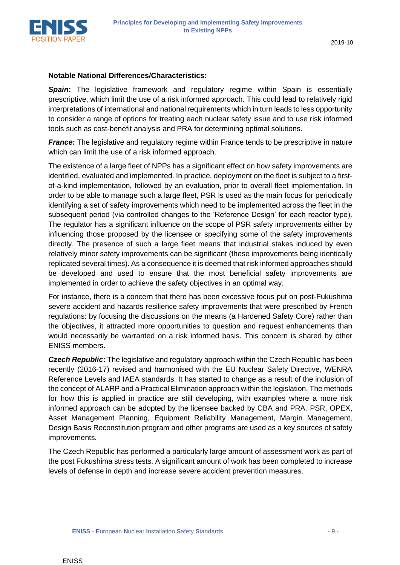

#### **Notable National Differences/Characteristics:**

*Spain***:** The legislative framework and regulatory regime within Spain is essentially prescriptive, which limit the use of a risk informed approach. This could lead to relatively rigid interpretations of international and national requirements which in turn leads to less opportunity to consider a range of options for treating each nuclear safety issue and to use risk informed tools such as cost-benefit analysis and PRA for determining optimal solutions.

*France*: The legislative and regulatory regime within France tends to be prescriptive in nature which can limit the use of a risk informed approach.

The existence of a large fleet of NPPs has a significant effect on how safety improvements are identified, evaluated and implemented. In practice, deployment on the fleet is subject to a firstof-a-kind implementation, followed by an evaluation, prior to overall fleet implementation. In order to be able to manage such a large fleet, PSR is used as the main focus for periodically identifying a set of safety improvements which need to be implemented across the fleet in the subsequent period (via controlled changes to the 'Reference Design' for each reactor type). The regulator has a significant influence on the scope of PSR safety improvements either by influencing those proposed by the licensee or specifying some of the safety improvements directly. The presence of such a large fleet means that industrial stakes induced by even relatively minor safety improvements can be significant (these improvements being identically replicated several times). As a consequence it is deemed that risk informed approaches should be developed and used to ensure that the most beneficial safety improvements are implemented in order to achieve the safety objectives in an optimal way.

For instance, there is a concern that there has been excessive focus put on post-Fukushima severe accident and hazards resilience safety improvements that were prescribed by French regulations: by focusing the discussions on the means (a Hardened Safety Core) rather than the objectives, it attracted more opportunities to question and request enhancements than would necessarily be warranted on a risk informed basis. This concern is shared by other ENISS members.

*Czech Republic***:** The legislative and regulatory approach within the Czech Republic has been recently (2016-17) revised and harmonised with the EU Nuclear Safety Directive, WENRA Reference Levels and IAEA standards. It has started to change as a result of the inclusion of the concept of ALARP and a Practical Elimination approach within the legislation. The methods for how this is applied in practice are still developing, with examples where a more risk informed approach can be adopted by the licensee backed by CBA and PRA. PSR, OPEX, Asset Management Planning, Equipment Reliability Management, Margin Management, Design Basis Reconstitution program and other programs are used as a key sources of safety improvements.

The Czech Republic has performed a particularly large amount of assessment work as part of the post Fukushima stress tests. A significant amount of work has been completed to increase levels of defense in depth and increase severe accident prevention measures.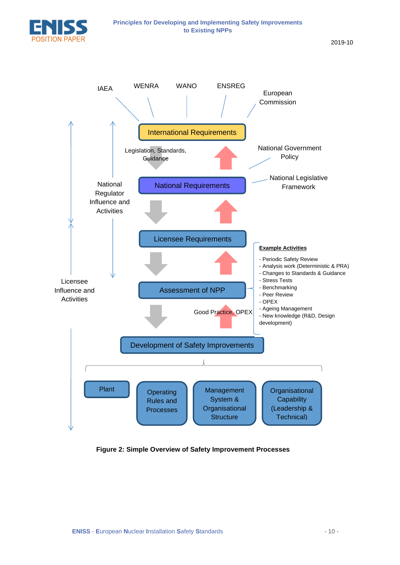

**Principles for Developing and Implementing Safety Improvements** 

**Figure 2: Simple Overview of Safety Improvement Processes**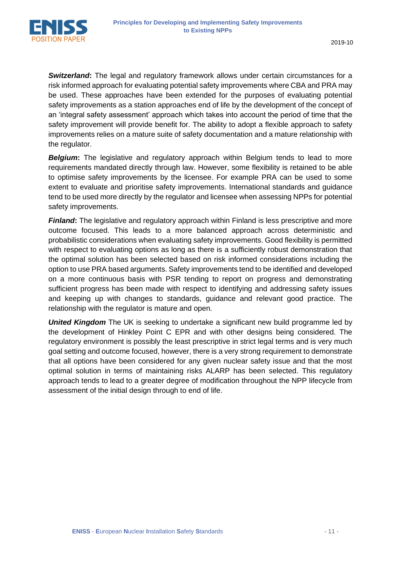

*Switzerland***:** The legal and regulatory framework allows under certain circumstances for a risk informed approach for evaluating potential safety improvements where CBA and PRA may be used. These approaches have been extended for the purposes of evaluating potential safety improvements as a station approaches end of life by the development of the concept of an 'integral safety assessment' approach which takes into account the period of time that the safety improvement will provide benefit for. The ability to adopt a flexible approach to safety improvements relies on a mature suite of safety documentation and a mature relationship with the regulator.

**Belgium:** The legislative and regulatory approach within Belgium tends to lead to more requirements mandated directly through law. However, some flexibility is retained to be able to optimise safety improvements by the licensee. For example PRA can be used to some extent to evaluate and prioritise safety improvements. International standards and guidance tend to be used more directly by the regulator and licensee when assessing NPPs for potential safety improvements.

*Finland***:** The legislative and regulatory approach within Finland is less prescriptive and more outcome focused. This leads to a more balanced approach across deterministic and probabilistic considerations when evaluating safety improvements. Good flexibility is permitted with respect to evaluating options as long as there is a sufficiently robust demonstration that the optimal solution has been selected based on risk informed considerations including the option to use PRA based arguments. Safety improvements tend to be identified and developed on a more continuous basis with PSR tending to report on progress and demonstrating sufficient progress has been made with respect to identifying and addressing safety issues and keeping up with changes to standards, guidance and relevant good practice. The relationship with the regulator is mature and open.

**United Kingdom** The UK is seeking to undertake a significant new build programme led by the development of Hinkley Point C EPR and with other designs being considered. The regulatory environment is possibly the least prescriptive in strict legal terms and is very much goal setting and outcome focused, however, there is a very strong requirement to demonstrate that all options have been considered for any given nuclear safety issue and that the most optimal solution in terms of maintaining risks ALARP has been selected. This regulatory approach tends to lead to a greater degree of modification throughout the NPP lifecycle from assessment of the initial design through to end of life.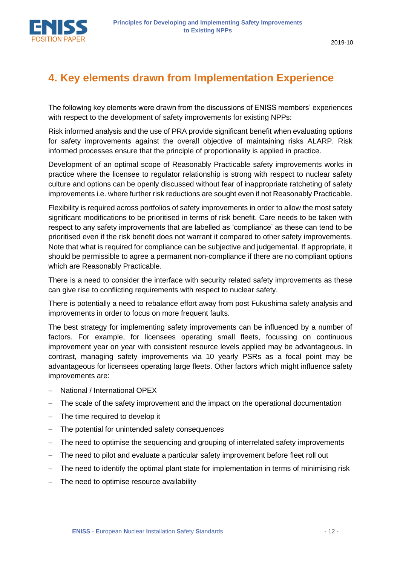

### **4. Key elements drawn from Implementation Experience**

The following key elements were drawn from the discussions of ENISS members' experiences with respect to the development of safety improvements for existing NPPs:

Risk informed analysis and the use of PRA provide significant benefit when evaluating options for safety improvements against the overall objective of maintaining risks ALARP. Risk informed processes ensure that the principle of proportionality is applied in practice.

Development of an optimal scope of Reasonably Practicable safety improvements works in practice where the licensee to regulator relationship is strong with respect to nuclear safety culture and options can be openly discussed without fear of inappropriate ratcheting of safety improvements i.e. where further risk reductions are sought even if not Reasonably Practicable.

Flexibility is required across portfolios of safety improvements in order to allow the most safety significant modifications to be prioritised in terms of risk benefit. Care needs to be taken with respect to any safety improvements that are labelled as 'compliance' as these can tend to be prioritised even if the risk benefit does not warrant it compared to other safety improvements. Note that what is required for compliance can be subjective and judgemental. If appropriate, it should be permissible to agree a permanent non-compliance if there are no compliant options which are Reasonably Practicable.

There is a need to consider the interface with security related safety improvements as these can give rise to conflicting requirements with respect to nuclear safety.

There is potentially a need to rebalance effort away from post Fukushima safety analysis and improvements in order to focus on more frequent faults.

The best strategy for implementing safety improvements can be influenced by a number of factors. For example, for licensees operating small fleets, focussing on continuous improvement year on year with consistent resource levels applied may be advantageous. In contrast, managing safety improvements via 10 yearly PSRs as a focal point may be advantageous for licensees operating large fleets. Other factors which might influence safety improvements are:

- − National / International OPEX
- − The scale of the safety improvement and the impact on the operational documentation
- − The time required to develop it
- − The potential for unintended safety consequences
- The need to optimise the sequencing and grouping of interrelated safety improvements
- − The need to pilot and evaluate a particular safety improvement before fleet roll out
- − The need to identify the optimal plant state for implementation in terms of minimising risk
- − The need to optimise resource availability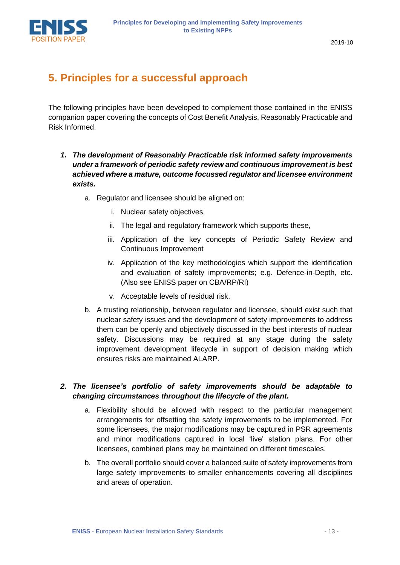

### **5. Principles for a successful approach**

The following principles have been developed to complement those contained in the ENISS companion paper covering the concepts of Cost Benefit Analysis, Reasonably Practicable and Risk Informed.

- *1. The development of Reasonably Practicable risk informed safety improvements under a framework of periodic safety review and continuous improvement is best achieved where a mature, outcome focussed regulator and licensee environment exists.*
	- a. Regulator and licensee should be aligned on:
		- i. Nuclear safety objectives,
		- ii. The legal and regulatory framework which supports these,
		- iii. Application of the key concepts of Periodic Safety Review and Continuous Improvement
		- iv. Application of the key methodologies which support the identification and evaluation of safety improvements; e.g. Defence-in-Depth, etc. (Also see ENISS paper on CBA/RP/RI)
		- v. Acceptable levels of residual risk.
	- b. A trusting relationship, between regulator and licensee, should exist such that nuclear safety issues and the development of safety improvements to address them can be openly and objectively discussed in the best interests of nuclear safety. Discussions may be required at any stage during the safety improvement development lifecycle in support of decision making which ensures risks are maintained ALARP.

#### *2. The licensee's portfolio of safety improvements should be adaptable to changing circumstances throughout the lifecycle of the plant.*

- a. Flexibility should be allowed with respect to the particular management arrangements for offsetting the safety improvements to be implemented. For some licensees, the major modifications may be captured in PSR agreements and minor modifications captured in local 'live' station plans. For other licensees, combined plans may be maintained on different timescales.
- b. The overall portfolio should cover a balanced suite of safety improvements from large safety improvements to smaller enhancements covering all disciplines and areas of operation.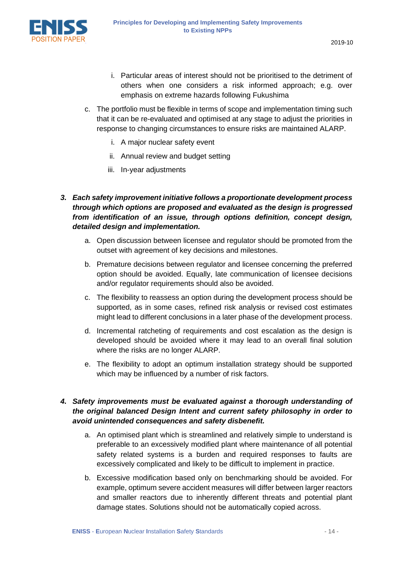- i. Particular areas of interest should not be prioritised to the detriment of others when one considers a risk informed approach; e.g. over emphasis on extreme hazards following Fukushima
- c. The portfolio must be flexible in terms of scope and implementation timing such that it can be re-evaluated and optimised at any stage to adjust the priorities in response to changing circumstances to ensure risks are maintained ALARP.
	- i. A major nuclear safety event
	- ii. Annual review and budget setting
	- iii. In-year adjustments
- *3. Each safety improvement initiative follows a proportionate development process through which options are proposed and evaluated as the design is progressed from identification of an issue, through options definition, concept design, detailed design and implementation.*
	- a. Open discussion between licensee and regulator should be promoted from the outset with agreement of key decisions and milestones.
	- b. Premature decisions between regulator and licensee concerning the preferred option should be avoided. Equally, late communication of licensee decisions and/or regulator requirements should also be avoided.
	- c. The flexibility to reassess an option during the development process should be supported, as in some cases, refined risk analysis or revised cost estimates might lead to different conclusions in a later phase of the development process.
	- d. Incremental ratcheting of requirements and cost escalation as the design is developed should be avoided where it may lead to an overall final solution where the risks are no longer ALARP.
	- e. The flexibility to adopt an optimum installation strategy should be supported which may be influenced by a number of risk factors.

#### *4. Safety improvements must be evaluated against a thorough understanding of the original balanced Design Intent and current safety philosophy in order to avoid unintended consequences and safety disbenefit.*

- a. An optimised plant which is streamlined and relatively simple to understand is preferable to an excessively modified plant where maintenance of all potential safety related systems is a burden and required responses to faults are excessively complicated and likely to be difficult to implement in practice.
- b. Excessive modification based only on benchmarking should be avoided. For example, optimum severe accident measures will differ between larger reactors and smaller reactors due to inherently different threats and potential plant damage states. Solutions should not be automatically copied across.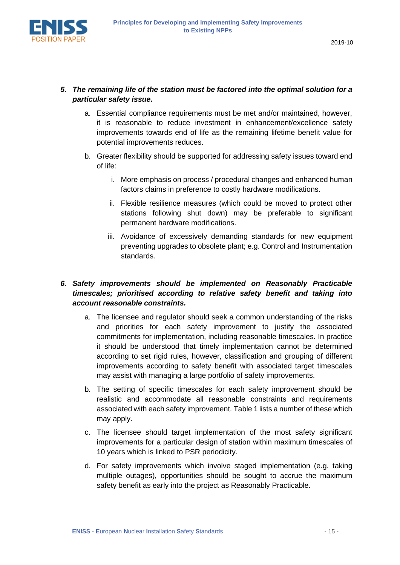

#### *5. The remaining life of the station must be factored into the optimal solution for a particular safety issue.*

- a. Essential compliance requirements must be met and/or maintained, however, it is reasonable to reduce investment in enhancement/excellence safety improvements towards end of life as the remaining lifetime benefit value for potential improvements reduces.
- b. Greater flexibility should be supported for addressing safety issues toward end of life:
	- i. More emphasis on process / procedural changes and enhanced human factors claims in preference to costly hardware modifications.
	- ii. Flexible resilience measures (which could be moved to protect other stations following shut down) may be preferable to significant permanent hardware modifications.
	- iii. Avoidance of excessively demanding standards for new equipment preventing upgrades to obsolete plant; e.g. Control and Instrumentation standards.

#### *6. Safety improvements should be implemented on Reasonably Practicable timescales; prioritised according to relative safety benefit and taking into account reasonable constraints.*

- a. The licensee and regulator should seek a common understanding of the risks and priorities for each safety improvement to justify the associated commitments for implementation, including reasonable timescales. In practice it should be understood that timely implementation cannot be determined according to set rigid rules, however, classification and grouping of different improvements according to safety benefit with associated target timescales may assist with managing a large portfolio of safety improvements.
- b. The setting of specific timescales for each safety improvement should be realistic and accommodate all reasonable constraints and requirements associated with each safety improvement. Table 1 lists a number of these which may apply.
- c. The licensee should target implementation of the most safety significant improvements for a particular design of station within maximum timescales of 10 years which is linked to PSR periodicity.
- d. For safety improvements which involve staged implementation (e.g. taking multiple outages), opportunities should be sought to accrue the maximum safety benefit as early into the project as Reasonably Practicable.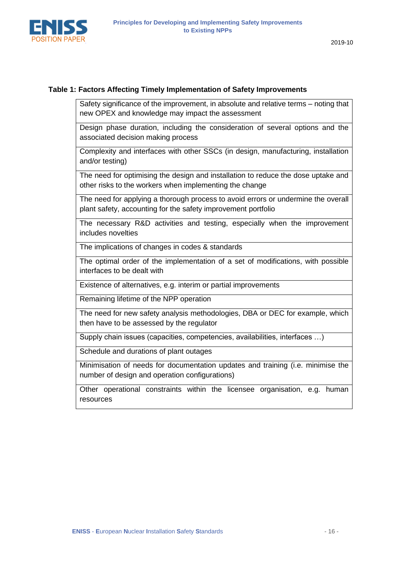

#### **Table 1: Factors Affecting Timely Implementation of Safety Improvements**

Safety significance of the improvement, in absolute and relative terms – noting that new OPEX and knowledge may impact the assessment

Design phase duration, including the consideration of several options and the associated decision making process

Complexity and interfaces with other SSCs (in design, manufacturing, installation and/or testing)

The need for optimising the design and installation to reduce the dose uptake and other risks to the workers when implementing the change

The need for applying a thorough process to avoid errors or undermine the overall plant safety, accounting for the safety improvement portfolio

The necessary R&D activities and testing, especially when the improvement includes novelties

The implications of changes in codes & standards

The optimal order of the implementation of a set of modifications, with possible interfaces to be dealt with

Existence of alternatives, e.g. interim or partial improvements

Remaining lifetime of the NPP operation

The need for new safety analysis methodologies, DBA or DEC for example, which then have to be assessed by the regulator

Supply chain issues (capacities, competencies, availabilities, interfaces …)

Schedule and durations of plant outages

Minimisation of needs for documentation updates and training (i.e. minimise the number of design and operation configurations)

Other operational constraints within the licensee organisation, e.g. human resources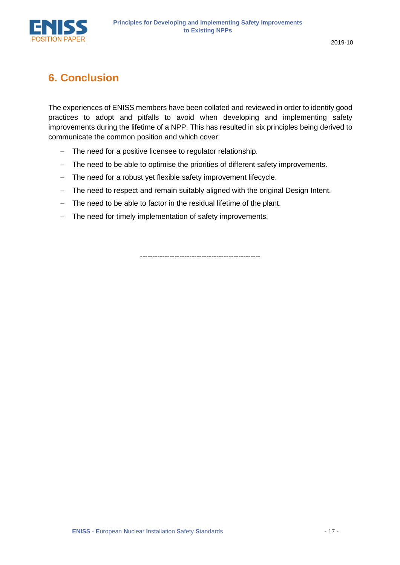

### **6. Conclusion**

The experiences of ENISS members have been collated and reviewed in order to identify good practices to adopt and pitfalls to avoid when developing and implementing safety improvements during the lifetime of a NPP. This has resulted in six principles being derived to communicate the common position and which cover:

- − The need for a positive licensee to regulator relationship.
- − The need to be able to optimise the priorities of different safety improvements.
- − The need for a robust yet flexible safety improvement lifecycle.
- − The need to respect and remain suitably aligned with the original Design Intent.
- − The need to be able to factor in the residual lifetime of the plant.
- − The need for timely implementation of safety improvements.

-------------------------------------------------